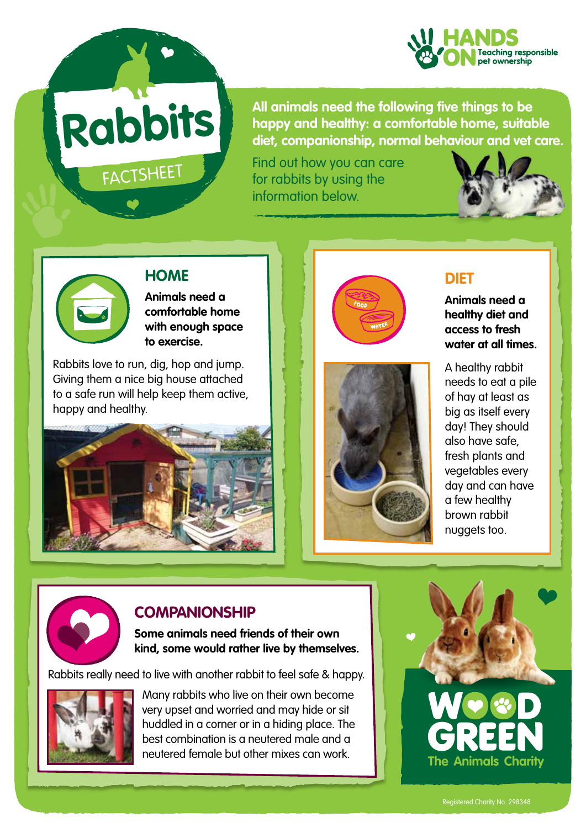

# FACTSHEET **Rabbits**

**All animals need the following five things to be happy and healthy: a comfortable home, suitable diet, companionship, normal behaviour and vet care.** 

Find out how you can care for rabbits by using the information below.





## **HOME**

**Animals need a comfortable home with enough space to exercise.**

Rabbits love to run, dig, hop and jump. Giving them a nice big house attached to a safe run will help keep them active, happy and healthy.







#### **DIET**

**Animals need a healthy diet and access to fresh water at all times.**

A healthy rabbit needs to eat a pile of hay at least as big as itself every day! They should also have safe, fresh plants and vegetables every day and can have a few healthy brown rabbit nuggets too.



## **COMPANIONSHIP**

**Some animals need friends of their own kind, some would rather live by themselves.** 

Rabbits really need to live with another rabbit to feel safe & happy.



Many rabbits who live on their own become very upset and worried and may hide or sit huddled in a corner or in a hiding place. The best combination is a neutered male and a neutered female but other mixes can work.